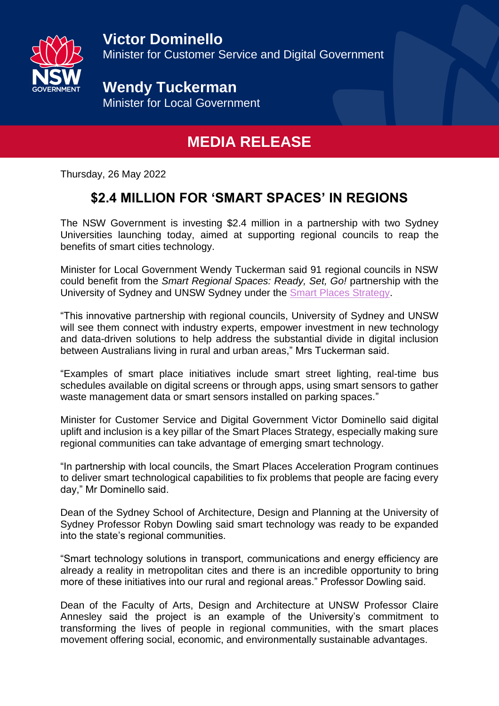

**Wendy Tuckerman** Minister for Local Government

## **MEDIA RELEASE**

Thursday, 26 May 2022

## **\$2.4 MILLION FOR 'SMART SPACES' IN REGIONS**

The NSW Government is investing \$2.4 million in a partnership with two Sydney Universities launching today, aimed at supporting regional councils to reap the benefits of smart cities technology.

Minister for Local Government Wendy Tuckerman said 91 regional councils in NSW could benefit from the *Smart Regional Spaces: Ready, Set, Go!* partnership with the University of Sydney and UNSW Sydney under the [Smart Places Strategy.](https://www.dpie.nsw.gov.au/__data/assets/pdf_file/0017/348110/Smart-Places-Strategy.pdf)

"This innovative partnership with regional councils, University of Sydney and UNSW will see them connect with industry experts, empower investment in new technology and data-driven solutions to help address the substantial divide in digital inclusion between Australians living in rural and urban areas," Mrs Tuckerman said.

"Examples of smart place initiatives include smart street lighting, real-time bus schedules available on digital screens or through apps, using smart sensors to gather waste management data or smart sensors installed on parking spaces."

Minister for Customer Service and Digital Government Victor Dominello said digital uplift and inclusion is a key pillar of the Smart Places Strategy, especially making sure regional communities can take advantage of emerging smart technology.

"In partnership with local councils, the Smart Places Acceleration Program continues to deliver smart technological capabilities to fix problems that people are facing every day," Mr Dominello said.

Dean of the Sydney School of Architecture, Design and Planning at the University of Sydney Professor Robyn Dowling said smart technology was ready to be expanded into the state's regional communities.

"Smart technology solutions in transport, communications and energy efficiency are already a reality in metropolitan cites and there is an incredible opportunity to bring more of these initiatives into our rural and regional areas." Professor Dowling said.

Dean of the Faculty of Arts, Design and Architecture at UNSW Professor Claire Annesley said the project is an example of the University's commitment to transforming the lives of people in regional communities, with the smart places movement offering social, economic, and environmentally sustainable advantages.